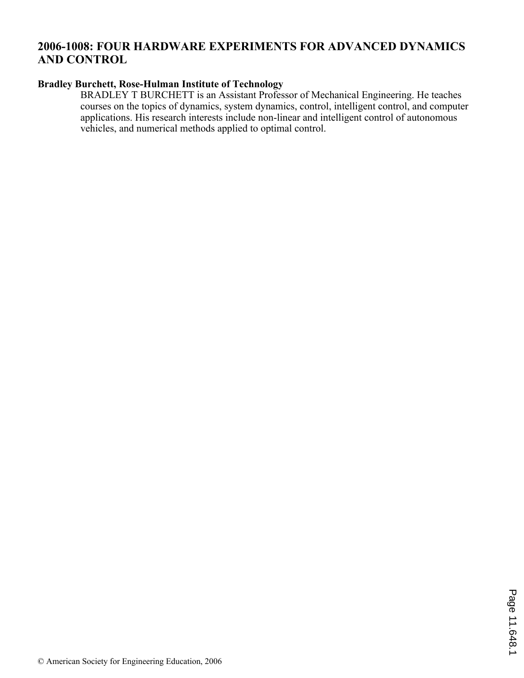# **2006-1008: FOUR HARDWARE EXPERIMENTS FOR ADVANCED DYNAMICS AND CONTROL**

## **Bradley Burchett, Rose-Hulman Institute of Technology**

BRADLEY T BURCHETT is an Assistant Professor of Mechanical Engineering. He teaches courses on the topics of dynamics, system dynamics, control, intelligent control, and computer applications. His research interests include non-linear and intelligent control of autonomous vehicles, and numerical methods applied to optimal control.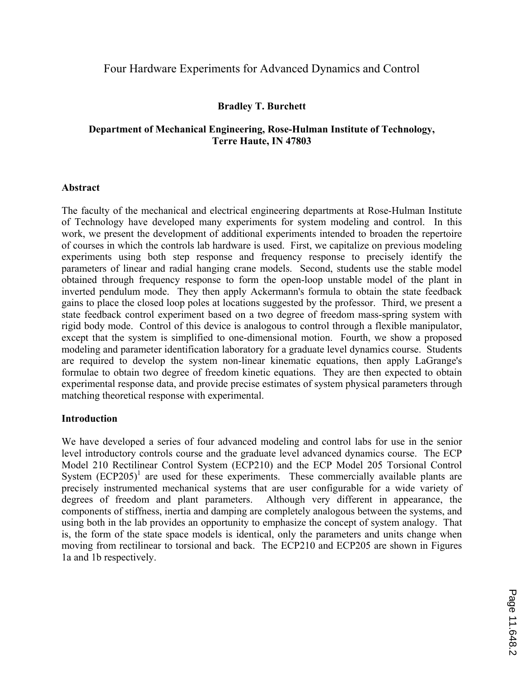## Four Hardware Experiments for Advanced Dynamics and Control

### **Bradley T. Burchett**

### **Department of Mechanical Engineering, Rose-Hulman Institute of Technology, Terre Haute, IN 47803**

#### **Abstract**

The faculty of the mechanical and electrical engineering departments at Rose-Hulman Institute of Technology have developed many experiments for system modeling and control. In this work, we present the development of additional experiments intended to broaden the repertoire of courses in which the controls lab hardware is used. First, we capitalize on previous modeling experiments using both step response and frequency response to precisely identify the parameters of linear and radial hanging crane models. Second, students use the stable model obtained through frequency response to form the open-loop unstable model of the plant in inverted pendulum mode. They then apply Ackermann's formula to obtain the state feedback gains to place the closed loop poles at locations suggested by the professor. Third, we present a state feedback control experiment based on a two degree of freedom mass-spring system with rigid body mode. Control of this device is analogous to control through a flexible manipulator, except that the system is simplified to one-dimensional motion. Fourth, we show a proposed modeling and parameter identification laboratory for a graduate level dynamics course. Students are required to develop the system non-linear kinematic equations, then apply LaGrange's formulae to obtain two degree of freedom kinetic equations. They are then expected to obtain experimental response data, and provide precise estimates of system physical parameters through matching theoretical response with experimental.

#### **Introduction**

We have developed a series of four advanced modeling and control labs for use in the senior level introductory controls course and the graduate level advanced dynamics course. The ECP Model 210 Rectilinear Control System (ECP210) and the ECP Model 205 Torsional Control System  $(ECP205)^1$  are used for these experiments. These commercially available plants are precisely instrumented mechanical systems that are user configurable for a wide variety of degrees of freedom and plant parameters. Although very different in appearance, the Although very different in appearance, the components of stiffness, inertia and damping are completely analogous between the systems, and using both in the lab provides an opportunity to emphasize the concept of system analogy. That is, the form of the state space models is identical, only the parameters and units change when moving from rectilinear to torsional and back. The ECP210 and ECP205 are shown in Figures 1a and 1b respectively.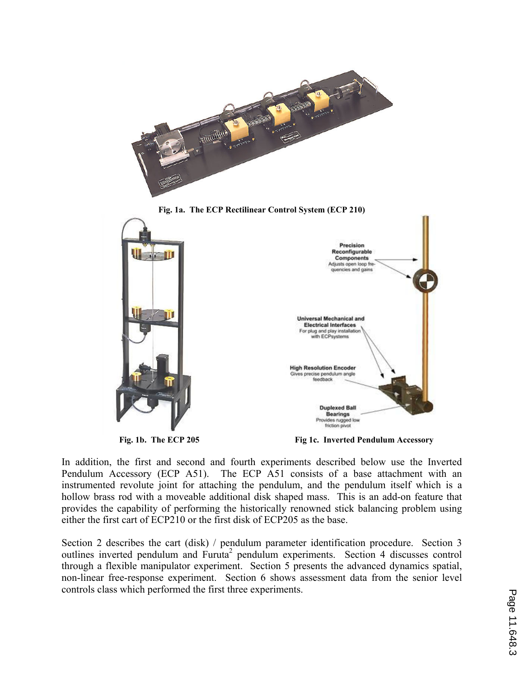



**Fig. 1b. The ECP 205 Fig 1c. Inverted Pendulum Accessory** 

In addition, the first and second and fourth experiments described below use the Inverted Pendulum Accessory (ECP A51). The ECP A51 consists of a base attachment with an instrumented revolute joint for attaching the pendulum, and the pendulum itself which is a hollow brass rod with a moveable additional disk shaped mass. This is an add-on feature that provides the capability of performing the historically renowned stick balancing problem using either the first cart of ECP210 or the first disk of ECP205 as the base.

Section 2 describes the cart (disk) / pendulum parameter identification procedure. Section 3 outlines inverted pendulum and Furuta<sup>2</sup> pendulum experiments. Section 4 discusses control through a flexible manipulator experiment. Section 5 presents the advanced dynamics spatial, non-linear free-response experiment. Section 6 shows assessment data from the senior level controls class which performed the first three experiments.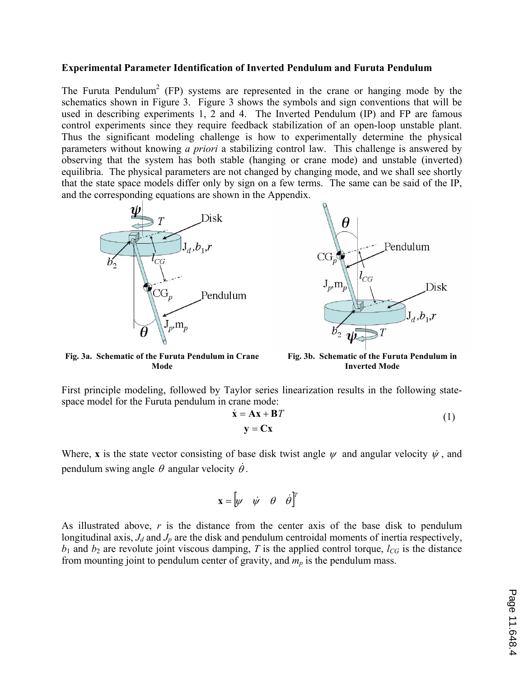#### **Experimental Parameter Identification of Inverted Pendulum and Furuta Pendulum**

The Furuta Pendulum<sup>2</sup> (FP) systems are represented in the crane or hanging mode by the schematics shown in Figure 3. Figure 3 shows the symbols and sign conventions that will be used in describing experiments 1, 2 and 4. The Inverted Pendulum (IP) and FP are famous control experiments since they require feedback stabilization of an open-loop unstable plant. Thus the significant modeling challenge is how to experimentally determine the physical parameters without knowing *a priori* a stabilizing control law. This challenge is answered by observing that the system has both stable (hanging or crane mode) and unstable (inverted) equilibria. The physical parameters are not changed by changing mode, and we shall see shortly that the state space models differ only by sign on a few terms. The same can be said of the IP, and the corresponding equations are shown in the Appendix.





**Fig. 3a. Schematic of the Furuta Pendulum in Crane Mode**

**Fig. 3b. Schematic of the Furuta Pendulum in Inverted Mode**

First principle modeling, followed by Taylor series linearization results in the following statespace model for the Furuta pendulum in crane mode:

$$
\dot{\mathbf{x}} = \mathbf{A}\mathbf{x} + \mathbf{B}T
$$
  

$$
\mathbf{y} = \mathbf{C}\mathbf{x}
$$
 (1)

Where, **x** is the state vector consisting of base disk twist angle  $\psi$  and angular velocity  $\dot{\psi}$ , and pendulum swing angle  $\theta$  angular velocity  $\dot{\theta}$ .

$$
\mathbf{x} = \begin{bmatrix} \psi & \dot{\psi} & \theta & \dot{\theta} \end{bmatrix}^T
$$

As illustrated above,  $r$  is the distance from the center axis of the base disk to pendulum longitudinal axis,  $J_d$  and  $J_p$  are the disk and pendulum centroidal moments of inertia respectively,  $b_1$  and  $b_2$  are revolute joint viscous damping, *T* is the applied control torque,  $l_{CG}$  is the distance from mounting joint to pendulum center of gravity, and  $m_p$  is the pendulum mass.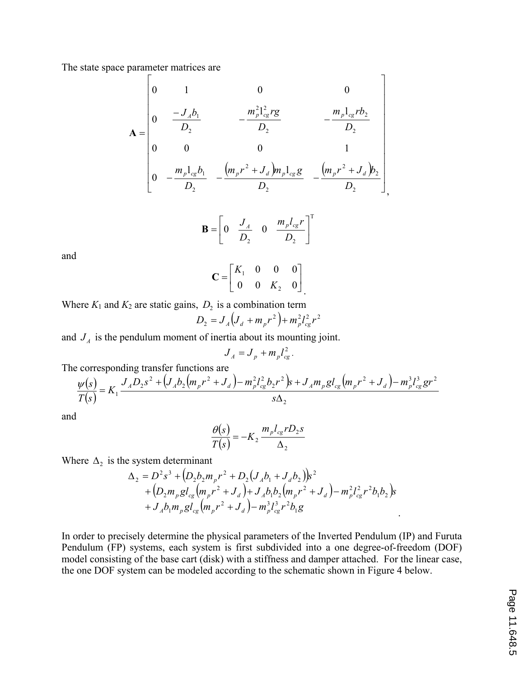The state space parameter matrices are

$$
\mathbf{A} = \begin{bmatrix} 0 & 1 & 0 & 0 \\ 0 & \frac{-J_A b_1}{D_2} & -\frac{m_p^2 l_{cg}^2 r g}{D_2} & -\frac{m_p l_{cg} r b_2}{D_2} \\ 0 & 0 & 0 & 1 \\ 0 & -\frac{m_p l_{cg} b_1}{D_2} & -\frac{(m_p r^2 + J_d) m_p l_{cg} g}{D_2} & -\frac{(m_p r^2 + J_d) b_2}{D_2} \end{bmatrix}
$$

$$
\mathbf{B} = \begin{bmatrix} 0 & \frac{J_A}{D_2} & 0 & \frac{m_p l_{cg} r}{D_2} \end{bmatrix}^\mathrm{T}
$$

and

$$
\mathbf{C} = \begin{bmatrix} K_1 & 0 & 0 & 0 \\ 0 & 0 & K_2 & 0 \end{bmatrix}
$$

Where  $K_1$  and  $K_2$  are static gains,  $D_2$  is a combination term

$$
D_2 = J_A (J_d + m_p r^2) + m_p^2 l_{cg}^2 r^2
$$

and  $J_A$  is the pendulum moment of inertia about its mounting joint.

$$
J_A = J_p + m_p l_{cg}^2.
$$

The corresponding transfer functions are

$$
\frac{\psi(s)}{T(s)} = K_1 \frac{J_A D_2 s^2 + (J_A b_2 (m_p r^2 + J_d) - m_p^2 l_{cg}^2 b_2 r^2) s + J_A m_p g l_{cg} (m_p r^2 + J_d) - m_p^3 l_{cg}^3 g r^2}{s \Delta_2}
$$

and

$$
\frac{\theta(s)}{T(s)} = -K_2 \frac{m_p l_{cg} r D_2 s}{\Delta_2}
$$

Where  $\Delta_2$  is the system determinant

$$
\Delta_2 = D^2 s^3 + (D_2 b_2 m_p r^2 + D_2 (J_A b_1 + J_d b_2)) s^2 + (D_2 m_p g l_{cg} (m_p r^2 + J_d) + J_A b_1 b_2 (m_p r^2 + J_d) - m_p^2 l_{cg}^2 r^2 b_1 b_2) s + J_A b_1 m_p g l_{cg} (m_p r^2 + J_d) - m_p^3 l_{cg}^3 r^2 b_1 g
$$

In order to precisely determine the physical parameters of the Inverted Pendulum (IP) and Furuta Pendulum (FP) systems, each system is first subdivided into a one degree-of-freedom (DOF) model consisting of the base cart (disk) with a stiffness and damper attached. For the linear case, the one DOF system can be modeled according to the schematic shown in Figure 4 below.

.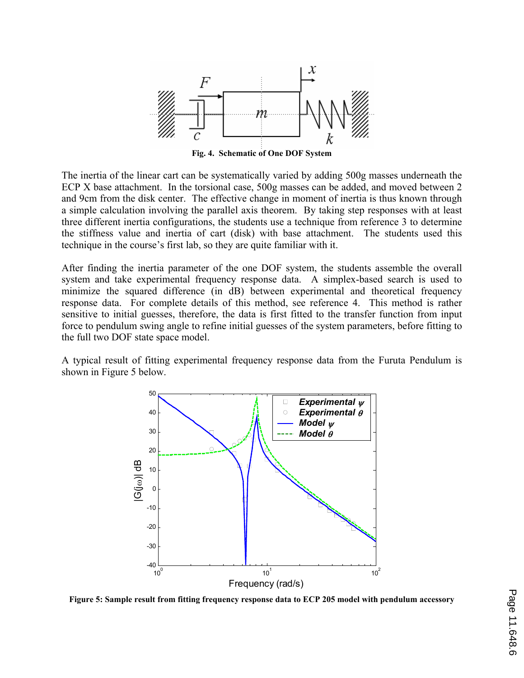

**Fig. 4. Schematic of One DOF System** 

The inertia of the linear cart can be systematically varied by adding 500g masses underneath the ECP X base attachment. In the torsional case, 500g masses can be added, and moved between 2 and 9cm from the disk center. The effective change in moment of inertia is thus known through a simple calculation involving the parallel axis theorem. By taking step responses with at least three different inertia configurations, the students use a technique from reference 3 to determine the stiffness value and inertia of cart (disk) with base attachment. The students used this technique in the course's first lab, so they are quite familiar with it.

After finding the inertia parameter of the one DOF system, the students assemble the overall system and take experimental frequency response data. A simplex-based search is used to minimize the squared difference (in dB) between experimental and theoretical frequency response data. For complete details of this method, see reference 4. This method is rather sensitive to initial guesses, therefore, the data is first fitted to the transfer function from input force to pendulum swing angle to refine initial guesses of the system parameters, before fitting to the full two DOF state space model.

A typical result of fitting experimental frequency response data from the Furuta Pendulum is shown in Figure 5 below.



**Figure 5: Sample result from fitting frequency response data to ECP 205 model with pendulum accessory**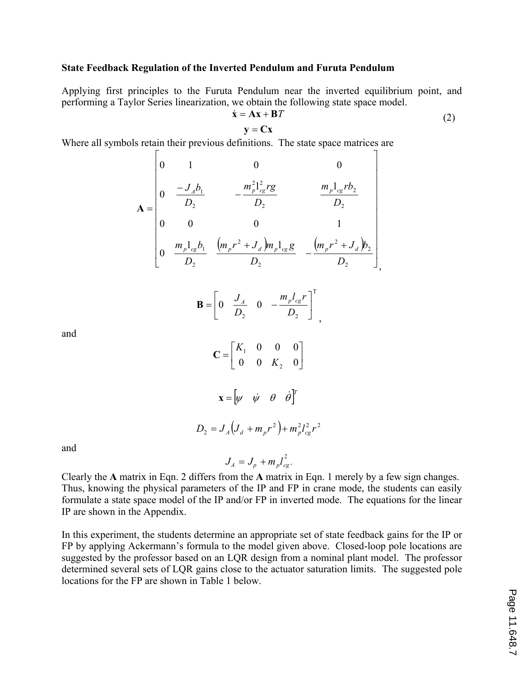#### **State Feedback Regulation of the Inverted Pendulum and Furuta Pendulum**

Applying first principles to the Furuta Pendulum near the inverted equilibrium point, and performing a Taylor Series linearization, we obtain the following state space model.

$$
\dot{\mathbf{x}} = \mathbf{A}\mathbf{x} + \mathbf{B}T \tag{2}
$$

,

,

$$
\mathbf{y} = \mathbf{C}\mathbf{x}
$$

Where all symbols retain their previous definitions. The state space matrices are

$$
\mathbf{A} = \begin{bmatrix} 0 & 1 & 0 & 0 \\ 0 & \frac{-J_A b_1}{D_2} & -\frac{m_p^2 l_{cg}^2 r g}{D_2} & \frac{m_p l_{cg} r b_2}{D_2} \\ 0 & 0 & 0 & 1 \\ 0 & \frac{m_p l_{cg} b_1}{D_2} & \frac{(m_p r^2 + J_d) m_p l_{cg} g}{D_2} & -\frac{(m_p r^2 + J_d) b_2}{D_2} \end{bmatrix}
$$

$$
\mathbf{B} = \begin{bmatrix} 0 & \frac{J_A}{D_2} & 0 & -\frac{m_p l_{cg} r}{D_2} \end{bmatrix}^\mathrm{T}
$$

and

$$
\mathbf{C} = \begin{bmatrix} K_1 & 0 & 0 & 0 \\ 0 & 0 & K_2 & 0 \end{bmatrix}
$$
\n
$$
\mathbf{x} = \begin{bmatrix} \psi & \psi & \theta & \dot{\theta} \end{bmatrix}^T
$$
\n
$$
D_2 = J_A \left( J_d + m_p r^2 \right) + m_p^2 l_{cg}^2 r^2
$$

and

Clearly the **A** matrix in Eqn. 2 differs from the **A** matrix in Eqn. 1 merely by a few sign changes. Thus, knowing the physical parameters of the IP and FP in crane mode, the students can easily formulate a state space model of the IP and/or FP in inverted mode. The equations for the linear IP are shown in the Appendix.

 $J_A = J_p + m_p l_{cg}^2$ 

 $\frac{2}{10}$ .

In this experiment, the students determine an appropriate set of state feedback gains for the IP or FP by applying Ackermann's formula to the model given above. Closed-loop pole locations are suggested by the professor based on an LQR design from a nominal plant model. The professor determined several sets of LQR gains close to the actuator saturation limits. The suggested pole locations for the FP are shown in Table 1 below.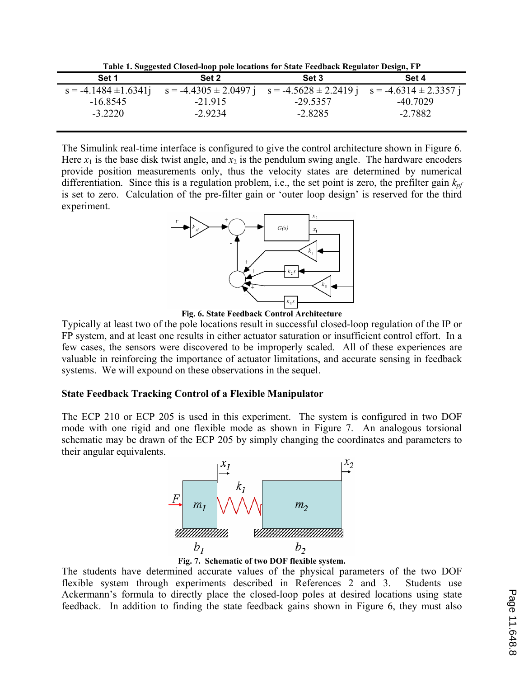**Table 1. Suggested Closed-loop pole locations for State Feedback Regulator Design, FP** 

|                           | Table 1: Suggested Closed Toop pole focations for State I ceabach Inequiator Design, FT |            |            |
|---------------------------|-----------------------------------------------------------------------------------------|------------|------------|
| Set 1                     | Set 2                                                                                   | Set 3      | Set 4      |
| $s = -4.1484 \pm 1.6341j$ | $s = -4.4305 \pm 2.0497$ j $s = -4.5628 \pm 2.2419$ j $s = -4.6314 \pm 2.3357$ j        |            |            |
| $-16.8545$                | $-21915$                                                                                | $-29.5357$ | $-40.7029$ |
| $-3.2220$                 | $-2.9234$                                                                               | $-2.8285$  | $-2.7882$  |
|                           |                                                                                         |            |            |

The Simulink real-time interface is configured to give the control architecture shown in Figure 6. Here  $x_1$  is the base disk twist angle, and  $x_2$  is the pendulum swing angle. The hardware encoders provide position measurements only, thus the velocity states are determined by numerical differentiation. Since this is a regulation problem, i.e., the set point is zero, the prefilter gain *kpf* is set to zero. Calculation of the pre-filter gain or 'outer loop design' is reserved for the third experiment.



**Fig. 6. State Feedback Control Architecture** 

Typically at least two of the pole locations result in successful closed-loop regulation of the IP or FP system, and at least one results in either actuator saturation or insufficient control effort. In a few cases, the sensors were discovered to be improperly scaled. All of these experiences are valuable in reinforcing the importance of actuator limitations, and accurate sensing in feedback systems. We will expound on these observations in the sequel.

#### **State Feedback Tracking Control of a Flexible Manipulator**

The ECP 210 or ECP 205 is used in this experiment. The system is configured in two DOF mode with one rigid and one flexible mode as shown in Figure 7. An analogous torsional schematic may be drawn of the ECP 205 by simply changing the coordinates and parameters to their angular equivalents.



**Fig. 7. Schematic of two DOF flexible system.** 

The students have determined accurate values of the physical parameters of the two DOF flexible system through experiments described in References 2 and 3. Students use Ackermann's formula to directly place the closed-loop poles at desired locations using state feedback. In addition to finding the state feedback gains shown in Figure 6, they must also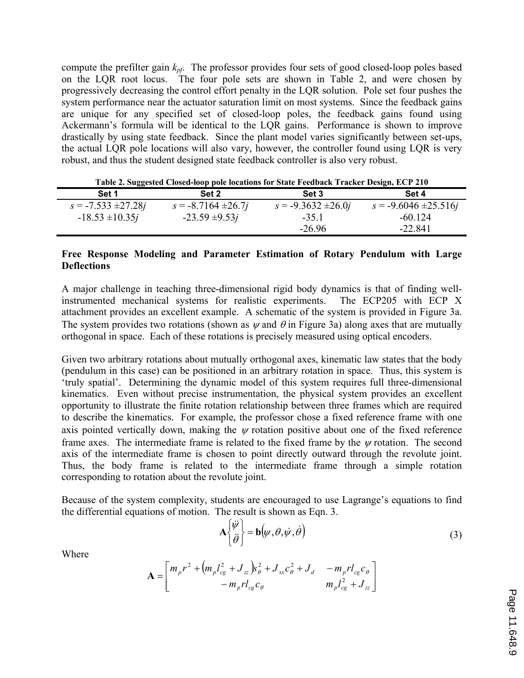compute the prefilter gain *kpf*. The professor provides four sets of good closed-loop poles based on the LQR root locus. The four pole sets are shown in Table 2, and were chosen by progressively decreasing the control effort penalty in the LQR solution. Pole set four pushes the system performance near the actuator saturation limit on most systems. Since the feedback gains are unique for any specified set of closed-loop poles, the feedback gains found using Ackermann's formula will be identical to the LQR gains. Performance is shown to improve drastically by using state feedback. Since the plant model varies significantly between set-ups, the actual LQR pole locations will also vary, however, the controller found using LQR is very robust, and thus the student designed state feedback controller is also very robust.

| Table 2. Suggested Closed-loop pole locations for State Feedback Tracker Design, ECP 210 |  |  |  |  |
|------------------------------------------------------------------------------------------|--|--|--|--|
|                                                                                          |  |  |  |  |

| Set 1                   | Set 2                   | <b>Set 3</b>            | Set 4                     |
|-------------------------|-------------------------|-------------------------|---------------------------|
|                         |                         |                         |                           |
| $s = -7.533 \pm 27.28j$ | $s = -8.7164 \pm 26.7j$ | $s = -9.3632 \pm 26.0j$ | $s = -9.6046 \pm 25.516j$ |
| $-18.53 \pm 10.35j$     | $-23.59 \pm 9.53j$      | $-35.1$                 | $-60.124$                 |
|                         |                         | $-26.96$                | $-22841$                  |

### **Free Response Modeling and Parameter Estimation of Rotary Pendulum with Large Deflections**

A major challenge in teaching three-dimensional rigid body dynamics is that of finding wellinstrumented mechanical systems for realistic experiments. The ECP205 with ECP X attachment provides an excellent example. A schematic of the system is provided in Figure 3a. The system provides two rotations (shown as  $\psi$  and  $\theta$  in Figure 3a) along axes that are mutually orthogonal in space. Each of these rotations is precisely measured using optical encoders.

Given two arbitrary rotations about mutually orthogonal axes, kinematic law states that the body (pendulum in this case) can be positioned in an arbitrary rotation in space. Thus, this system is 'truly spatial'. Determining the dynamic model of this system requires full three-dimensional kinematics. Even without precise instrumentation, the physical system provides an excellent opportunity to illustrate the finite rotation relationship between three frames which are required to describe the kinematics. For example, the professor chose a fixed reference frame with one axis pointed vertically down, making the  $\psi$  rotation positive about one of the fixed reference frame axes. The intermediate frame is related to the fixed frame by the  $\psi$  rotation. The second axis of the intermediate frame is chosen to point directly outward through the revolute joint. Thus, the body frame is related to the intermediate frame through a simple rotation corresponding to rotation about the revolute joint.

Because of the system complexity, students are encouraged to use Lagrange's equations to find the differential equations of motion. The result is shown as Eqn. 3.

$$
\mathbf{A} \begin{Bmatrix} \ddot{\psi} \\ \ddot{\theta} \end{Bmatrix} = \mathbf{b} \big( \psi, \theta, \dot{\psi}, \dot{\theta} \big)
$$
 (3)

Where

$$
\mathbf{A} = \begin{bmatrix} m_p r^2 + \left( m_p l_{cg}^2 + J_{zz} \right) s_\theta^2 + J_{xx} c_\theta^2 + J_d & -m_p r l_{cg} c_\theta \\ -m_p r l_{cg} c_\theta & m_p l_{cg}^2 + J_{zz} \end{bmatrix}
$$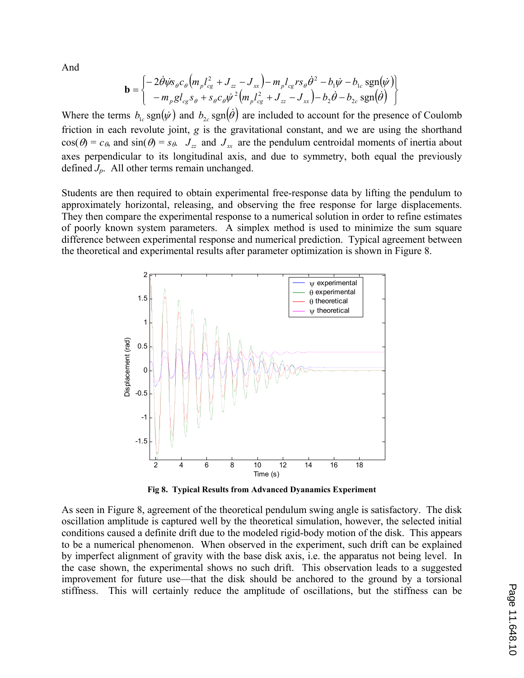And

$$
\mathbf{b} = \begin{cases} -2\dot{\theta}\dot{\psi}s_{\theta}c_{\theta}\left(m_{p}l_{cg}^{2} + J_{zz} - J_{xx}\right) - m_{p}l_{cg}rs_{\theta}\dot{\theta}^{2} - b_{1}\dot{\psi} - b_{1c}\operatorname{sgn}(\dot{\psi})\right) \\ - m_{p}gl_{cg}s_{\theta} + s_{\theta}c_{\theta}\dot{\psi}^{2}\left(m_{p}l_{cg}^{2} + J_{zz} - J_{xx}\right) - b_{2}\dot{\theta} - b_{2c}\operatorname{sgn}(\dot{\theta}) \end{cases}
$$

Where the terms  $b_{1c}$  sgn $(\psi)$  and  $b_{2c}$  sgn $(\dot{\theta})$  are included to account for the presence of Coulomb friction in each revolute joint, *g* is the gravitational constant, and we are using the shorthand  $cos(\theta) = c_{\theta}$ , and  $sin(\theta) = s_{\theta}$ .  $J_{zz}$  and  $J_{xx}$  are the pendulum centroidal moments of inertia about axes perpendicular to its longitudinal axis, and due to symmetry, both equal the previously defined *Jp*. All other terms remain unchanged.

Students are then required to obtain experimental free-response data by lifting the pendulum to approximately horizontal, releasing, and observing the free response for large displacements. They then compare the experimental response to a numerical solution in order to refine estimates of poorly known system parameters. A simplex method is used to minimize the sum square difference between experimental response and numerical prediction. Typical agreement between the theoretical and experimental results after parameter optimization is shown in Figure 8.



**Fig 8. Typical Results from Advanced Dyanamics Experiment** 

As seen in Figure 8, agreement of the theoretical pendulum swing angle is satisfactory. The disk oscillation amplitude is captured well by the theoretical simulation, however, the selected initial conditions caused a definite drift due to the modeled rigid-body motion of the disk. This appears to be a numerical phenomenon. When observed in the experiment, such drift can be explained by imperfect alignment of gravity with the base disk axis, i.e. the apparatus not being level. In the case shown, the experimental shows no such drift. This observation leads to a suggested improvement for future use—that the disk should be anchored to the ground by a torsional stiffness. This will certainly reduce the amplitude of oscillations, but the stiffness can be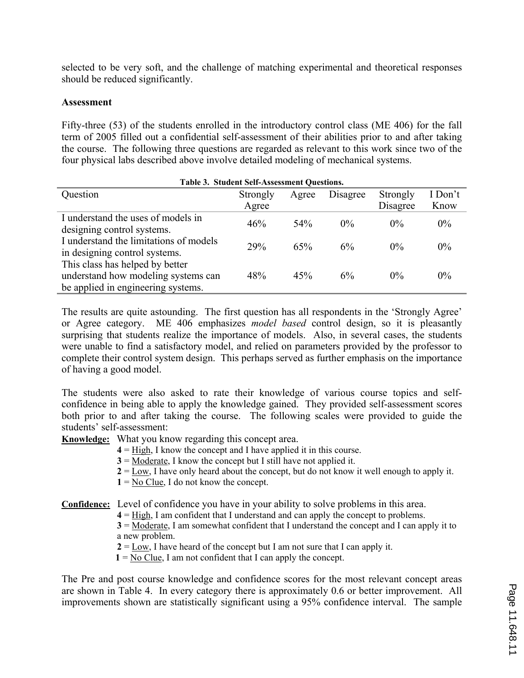selected to be very soft, and the challenge of matching experimental and theoretical responses should be reduced significantly.

#### **Assessment**

Fifty-three (53) of the students enrolled in the introductory control class (ME 406) for the fall term of 2005 filled out a confidential self-assessment of their abilities prior to and after taking the course. The following three questions are regarded as relevant to this work since two of the four physical labs described above involve detailed modeling of mechanical systems.

| Table 3. Student Self-Assessment Questions. |          |       |          |          |         |
|---------------------------------------------|----------|-------|----------|----------|---------|
| Question                                    | Strongly | Agree | Disagree | Strongly | I Don't |
|                                             | Agree    |       |          | Disagree | Know    |
| I understand the uses of models in          | 46%      | 54%   | $0\%$    | $0\%$    | $0\%$   |
| designing control systems.                  |          |       |          |          |         |
| I understand the limitations of models      | 29%      | 65%   | 6%       | $0\%$    | $0\%$   |
| in designing control systems.               |          |       |          |          |         |
| This class has helped by better             |          |       |          |          |         |
| understand how modeling systems can         | 48%      | 45%   | 6%       | $0\%$    | $0\%$   |
| be applied in engineering systems.          |          |       |          |          |         |

The results are quite astounding. The first question has all respondents in the 'Strongly Agree' or Agree category. ME 406 emphasizes *model based* control design, so it is pleasantly surprising that students realize the importance of models. Also, in several cases, the students were unable to find a satisfactory model, and relied on parameters provided by the professor to complete their control system design. This perhaps served as further emphasis on the importance of having a good model.

The students were also asked to rate their knowledge of various course topics and selfconfidence in being able to apply the knowledge gained. They provided self-assessment scores both prior to and after taking the course. The following scales were provided to guide the students' self-assessment:

**Knowledge:** What you know regarding this concept area.

**4** = High, I know the concept and I have applied it in this course.

**3** = Moderate, I know the concept but I still have not applied it.

**2** = Low, I have only heard about the concept, but do not know it well enough to apply it.

 $1 = No Clue$ , I do not know the concept.

**Confidence:** Level of confidence you have in your ability to solve problems in this area.

**4** = High, I am confident that I understand and can apply the concept to problems.

**3** = Moderate, I am somewhat confident that I understand the concept and I can apply it to a new problem.

 $2 = \text{Low}$ , I have heard of the concept but I am not sure that I can apply it.

**1** = No Clue, I am not confident that I can apply the concept.

The Pre and post course knowledge and confidence scores for the most relevant concept areas are shown in Table 4. In every category there is approximately 0.6 or better improvement. All improvements shown are statistically significant using a 95% confidence interval. The sample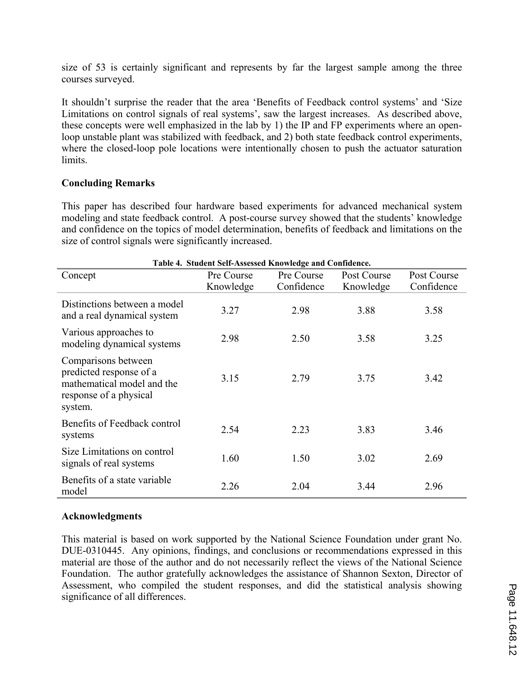size of 53 is certainly significant and represents by far the largest sample among the three courses surveyed.

It shouldn't surprise the reader that the area 'Benefits of Feedback control systems' and 'Size Limitations on control signals of real systems', saw the largest increases. As described above, these concepts were well emphasized in the lab by 1) the IP and FP experiments where an openloop unstable plant was stabilized with feedback, and 2) both state feedback control experiments, where the closed-loop pole locations were intentionally chosen to push the actuator saturation limits.

### **Concluding Remarks**

This paper has described four hardware based experiments for advanced mechanical system modeling and state feedback control. A post-course survey showed that the students' knowledge and confidence on the topics of model determination, benefits of feedback and limitations on the size of control signals were significantly increased.

| Table 4. Student Self-Assessed Knowledge and Confidence.                                                          |                         |                          |                          |                           |  |  |
|-------------------------------------------------------------------------------------------------------------------|-------------------------|--------------------------|--------------------------|---------------------------|--|--|
| Concept                                                                                                           | Pre Course<br>Knowledge | Pre Course<br>Confidence | Post Course<br>Knowledge | Post Course<br>Confidence |  |  |
| Distinctions between a model<br>and a real dynamical system                                                       | 3.27                    | 2.98                     | 3.88                     | 3.58                      |  |  |
| Various approaches to<br>modeling dynamical systems                                                               | 2.98                    | 2.50                     | 3.58                     | 3.25                      |  |  |
| Comparisons between<br>predicted response of a<br>mathematical model and the<br>response of a physical<br>system. | 3.15                    | 2.79                     | 3.75                     | 3.42                      |  |  |
| Benefits of Feedback control<br>systems                                                                           | 2.54                    | 2.23                     | 3.83                     | 3.46                      |  |  |
| Size Limitations on control<br>signals of real systems                                                            | 1.60                    | 1.50                     | 3.02                     | 2.69                      |  |  |
| Benefits of a state variable<br>model                                                                             | 2.26                    | 2.04                     | 3.44                     | 2.96                      |  |  |

### **Acknowledgments**

This material is based on work supported by the National Science Foundation under grant No. DUE-0310445. Any opinions, findings, and conclusions or recommendations expressed in this material are those of the author and do not necessarily reflect the views of the National Science Foundation. The author gratefully acknowledges the assistance of Shannon Sexton, Director of Assessment, who compiled the student responses, and did the statistical analysis showing significance of all differences.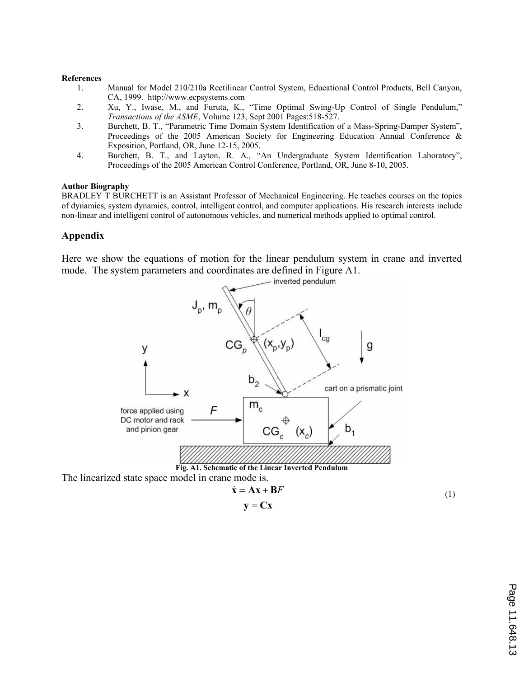#### **References**

- 1. Manual for Model 210/210a Rectilinear Control System, Educational Control Products, Bell Canyon, CA, 1999. http://www.ecpsystems.com
- 2. Xu, Y., Iwase, M., and Furuta, K., "Time Optimal Swing-Up Control of Single Pendulum," *Transactions of the ASME*, Volume 123, Sept 2001 Pages:518-527.
- 3. Burchett, B. T., "Parametric Time Domain System Identification of a Mass-Spring-Damper System", Proceedings of the 2005 American Society for Engineering Education Annual Conference & Exposition, Portland, OR, June 12-15, 2005.
- 4. Burchett, B. T., and Layton, R. A., "An Undergraduate System Identification Laboratory", Proceedings of the 2005 American Control Conference, Portland, OR, June 8-10, 2005.

#### **Author Biography**

BRADLEY T BURCHETT is an Assistant Professor of Mechanical Engineering. He teaches courses on the topics of dynamics, system dynamics, control, intelligent control, and computer applications. His research interests include non-linear and intelligent control of autonomous vehicles, and numerical methods applied to optimal control.

#### **Appendix**

Here we show the equations of motion for the linear pendulum system in crane and inverted mode. The system parameters and coordinates are defined in Figure A1.



 $y = Cx$